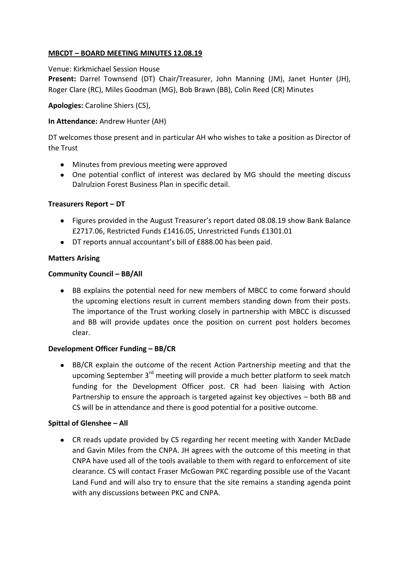# **MBCDT – BOARD MEETING MINUTES 12.08.19**

# Venue: Kirkmichael Session House

**Present:** Darrel Townsend (DT) Chair/Treasurer, John Manning (JM), Janet Hunter (JH), Roger Clare (RC), Miles Goodman (MG), Bob Brawn (BB), Colin Reed (CR) Minutes

# **Apologies:** Caroline Shiers (CS),

# **In Attendance:** Andrew Hunter (AH)

DT welcomes those present and in particular AH who wishes to take a position as Director of the Trust

- Minutes from previous meeting were approved
- One potential conflict of interest was declared by MG should the meeting discuss Dalrulzion Forest Business Plan in specific detail.

# **Treasurers Report – DT**

- Figures provided in the August Treasurer's report dated 08.08.19 show Bank Balance £2717.06, Restricted Funds £1416.05, Unrestricted Funds £1301.01
- DT reports annual accountant's bill of £888.00 has been paid.

# **Matters Arising**

# **Community Council – BB/All**

BB explains the potential need for new members of MBCC to come forward should the upcoming elections result in current members standing down from their posts. The importance of the Trust working closely in partnership with MBCC is discussed and BB will provide updates once the position on current post holders becomes clear.

#### **Development Officer Funding – BB/CR**

BB/CR explain the outcome of the recent Action Partnership meeting and that the  $\bullet$ upcoming September 3<sup>rd</sup> meeting will provide a much better platform to seek match funding for the Development Officer post. CR had been liaising with Action Partnership to ensure the approach is targeted against key objectives – both BB and CS will be in attendance and there is good potential for a positive outcome.

#### **Spittal of Glenshee – All**

CR reads update provided by CS regarding her recent meeting with Xander McDade and Gavin Miles from the CNPA. JH agrees with the outcome of this meeting in that CNPA have used all of the tools available to them with regard to enforcement of site clearance. CS will contact Fraser McGowan PKC regarding possible use of the Vacant Land Fund and will also try to ensure that the site remains a standing agenda point with any discussions between PKC and CNPA.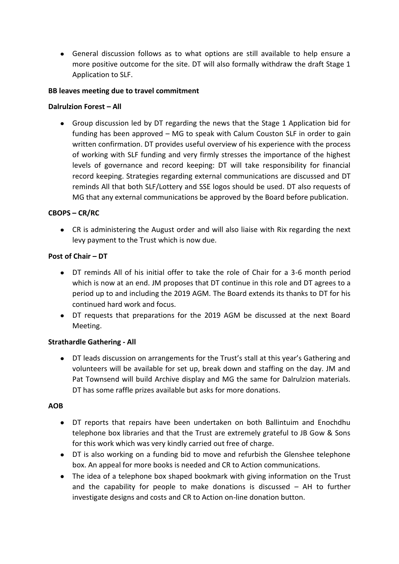General discussion follows as to what options are still available to help ensure a more positive outcome for the site. DT will also formally withdraw the draft Stage 1 Application to SLF.

# **BB leaves meeting due to travel commitment**

# **Dalrulzion Forest – All**

Group discussion led by DT regarding the news that the Stage 1 Application bid for funding has been approved – MG to speak with Calum Couston SLF in order to gain written confirmation. DT provides useful overview of his experience with the process of working with SLF funding and very firmly stresses the importance of the highest levels of governance and record keeping: DT will take responsibility for financial record keeping. Strategies regarding external communications are discussed and DT reminds All that both SLF/Lottery and SSE logos should be used. DT also requests of MG that any external communications be approved by the Board before publication.

# **CBOPS – CR/RC**

CR is administering the August order and will also liaise with Rix regarding the next levy payment to the Trust which is now due.

# **Post of Chair – DT**

- DT reminds All of his initial offer to take the role of Chair for a 3-6 month period which is now at an end. JM proposes that DT continue in this role and DT agrees to a period up to and including the 2019 AGM. The Board extends its thanks to DT for his continued hard work and focus.
- DT requests that preparations for the 2019 AGM be discussed at the next Board Meeting.

#### **Strathardle Gathering - All**

DT leads discussion on arrangements for the Trust's stall at this year's Gathering and  $\bullet$ volunteers will be available for set up, break down and staffing on the day. JM and Pat Townsend will build Archive display and MG the same for Dalrulzion materials. DT has some raffle prizes available but asks for more donations.

#### **AOB**

- DT reports that repairs have been undertaken on both Ballintuim and Enochdhu telephone box libraries and that the Trust are extremely grateful to JB Gow & Sons for this work which was very kindly carried out free of charge.
- DT is also working on a funding bid to move and refurbish the Glenshee telephone box. An appeal for more books is needed and CR to Action communications.
- The idea of a telephone box shaped bookmark with giving information on the Trust and the capability for people to make donations is discussed – AH to further investigate designs and costs and CR to Action on-line donation button.